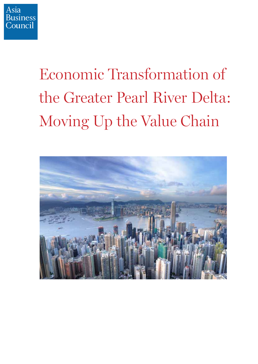

## Economic Transformation of<br>the Greater Pearl River Delta:  $\begin{bmatrix} 1 & 1 \\ 1 & 1 \end{bmatrix}$  $\mathcal{O}$  or  $\mathcal{O}$  the Value Chain  $\mathcal{O}$

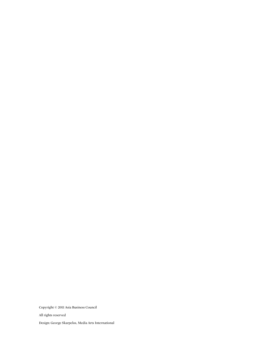Copyright © 2011 Asia Business Council All rights reserved Design: George Skarpelos, Media Arts International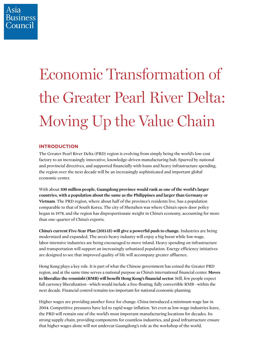### Economic Transformation of the Greater Pearl River Delta: the Greater Pearl River Delta:  $\overline{O}$  . The value channel

#### **INTRODUCTION**

The Greater Pearl River Delta (PRD) region is evolving from simply being the world's low-cost factory to an increasingly innovative, knowledge-driven manufacturing hub. Spurred by national and provincial directives, and supported financially with loans and heavy infrastructure spending, the region over the next decade will be an increasingly sophisticated and important global economic center.

With about **100 million people, Guangdong province would rank as one of the world's larger countries, with a population about the same as the Philippines and larger than Germany or Vietnam**. The PRD region, where about half of the province's residents live, has a population comparable to that of South Korea. The city of Shenzhen was where China's open-door policy began in 1978, and the region has disproportionate weight in China's economy, accounting for more than one-quarter of China's exports.

**China's current Five-Year Plan (2011-15) will give a powerful push to change.** Industries are being modernized and expanded. The area's heavy industry will enjoy a big boost while low-wage, labor-intensive industries are being encouraged to move inland. Heavy spending on infrastructure and transportation will support an increasingly urbanized population. Energy efficiency initiatives are designed to see that improved quality of life will accompany greater affluence.

Hong Kong plays a key role. It is part of what the Chinese government has coined the Greater PRD region, and at the same time serves a national purpose as China's international financial center. **Moves to liberalize the renminbi (RMB) will benefit Hong Kong's financial sector.** Still, few people expect full currency liberalization—which would include a free-floating, fully convertible RMB—within the next decade. Financial control remains too important for national economic planning.

Higher wages are providing another force for change. China introduced a minimum wage law in 2004. Competitive pressures have led to rapid wage inflation. Yet even as low-wage industries leave, the PRD will remain one of the world's most important manufacturing locations for decades. Its strong supply chain, providing components for countless industries, and good infrastructure ensure that higher wages alone will not undercut Guangdong's role as the workshop of the world.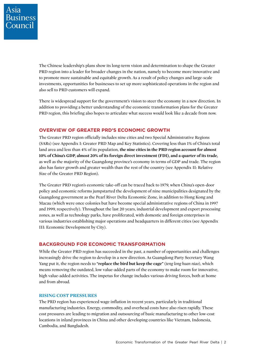The Chinese leadership's plans show its long-term vision and determination to shape the Greater PRD region into a leader for broader changes in the nation, namely to become more innovative and to promote more sustainable and equitable growth. As a result of policy changes and large-scale investments, opportunities for businesses to set up more sophisticated operations in the region and also sell to PRD customers will expand.

There is widespread support for the government's vision to steer the economy in a new direction. In addition to providing a better understanding of the economic transformation plans for the Greater PRD region, this briefing also hopes to articulate what success would look like a decade from now.

#### **OVERVIEW OF GREATER PRD'S ECONOMIC GROWTH**

The Greater PRD region officially includes nine cities and two Special Administrative Regions (SARs) (see Appendix I: Greater PRD Map and Key Statistics). Covering less than 1% of China's total land area and less than 4% of its population, **the nine cities in the PRD region account for almost 10% of China's GDP, almost 20% of its foreign direct investment (FDI), and a quarter of its trade,** as well as the majority of the Guangdong province's economy in terms of GDP and trade. The region also has faster growth and greater wealth than the rest of the country (see Appendix II: Relative Size of the Greater PRD Region).

The Greater PRD region's economic take-off can be traced back to 1979, when China's open-door policy and economic reforms jumpstarted the development of nine municipalities designated by the Guangdong government as the Pearl River Delta Economic Zone, in addition to Hong Kong and Macau (which were once colonies but have become special administrative regions of China in 1997 and 1999, respectively). Throughout the last 20 years, industrial development and export processing zones, as well as technology parks, have proliferated, with domestic and foreign enterprises in various industries establishing major operations and headquarters in different cities (see Appendix III: Economic Development by City).

#### **BACKGROUND FOR ECONOMIC TRANSFORMATION**

While the Greater PRD region has succeeded in the past, a number of opportunities and challenges increasingly drive the region to develop in a new direction. As Guangdong Party Secretary Wang Yang put it, the region needs to **"replace the bird but keep the cage"** (*teng long huan niao*), which means removing the outdated, low value-added parts of the economy to make room for innovative, high value-added activities. The impetus for change includes various driving forces, both at home and from abroad.

#### **RISING COST PRESSURES**

The PRD region has experienced wage inflation in recent years, particularly in traditional manufacturing industries. Energy, commodity, and overhead costs have also risen rapidly. These cost pressures are leading to migration and outsourcing of basic manufacturing to other low-cost locations in inland provinces in China and other developing countries like Vietnam, Indonesia, Cambodia, and Bangladesh.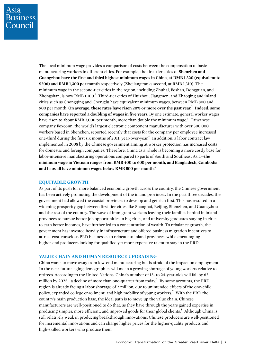The local minimum wage provides a comparison of costs between the compensation of basic manufacturing workers in different cities. For example, the first-tier cities of **Shenzhen and Guangzhou have the first and third highest minimum wages in China, at RMB 1,320 (equivalent to \$206) and RMB 1,300 per month** respectively (Zhejiang ranks second, at RMB 1,310). The minimum wage in the second-tier cities in the region, including Zhuhai, Foshan, Dongguan, and Zhongshan, is now RMB 1,100.<sup>1</sup> Third-tier cities of Huizhou, Jiangmen, and Zhaoqing and inland cities such as Chongqing and Chengdu have equivalent minimum wages, between RMB 800 and 900 per month. **On average, these rates have risen 20% or more over the past year.<sup>2</sup> Indeed, some companies have reported a doubling of wages in five years.** By one estimate, general worker wages have risen to about RMB 3,000 per month, more than double the minimum wage.<sup>3</sup> Taiwanese company Foxconn, the world's largest electronic component manufacturer with over 300,000 workers based in Shenzhen, reported recently that costs for the company per employee increased one-third during the first six months of 2011, year-over-year.<sup>4</sup> In addition, a labor contract law implemented in 2008 by the Chinese government aiming at worker protection has increased costs for domestic and foreign companies. Therefore, China as a whole is becoming a more costly base for labor-intensive manufacturing operations compared to parts of South and Southeast Asia—t**he minimum wage in Vietnam ranges from RMB 400 to 600 per month, and Bangladesh, Cambodia, and Laos all have minimum wages below RMB 500 per month.**<sup>5</sup>

#### **EQUITABLE GROWTH**

As part of its push for more balanced economic growth across the country, the Chinese government has been actively promoting the development of the inland provinces. In the past three decades, the government had allowed the coastal provinces to develop and get rich first. This has resulted in a widening prosperity gap between first-tier cities like Shanghai, Beijing, Shenzhen, and Guangzhou and the rest of the country. The wave of immigrant workers leaving their families behind in inland provinces to pursue better job opportunities in big cities, and university graduates staying in cities to earn better incomes, have further led to a concentration of wealth. To rebalance growth, the government has invested heavily in infrastructure and offered business migration incentives to attract cost-conscious PRD businesses to relocate to inland provinces, while encouraging higher-end producers looking for qualified yet more expensive talent to stay in the PRD.

#### **VALUE CHAIN AND HUMAN RESOURCE UPGRADING**

China wants to move away from low-end manufacturing but is afraid of the impact on employment. In the near future, aging demographics will mean a growing shortage of young workers relative to retirees. According to the United Nations, China's number of 15- to 24-year-olds will fall by 62 million by 2025—a decline of more than one-quarter from today.<sup>6</sup> By some accounts, the PRD region is already facing a labor shortage of 2 million, due to unintended effects of the one-child policy, expanded college enrollment, and high mobility of young workers.<sup>7</sup> With the PRD the country's main production base, the ideal path is to move up the value chain. Chinese manufacturers are well-positioned to do that, as they have through the years gained expertise in producing simpler, more efficient, and improved goods for their global clients.<sup>8</sup> Although China is still relatively weak in producing breakthrough innovations, Chinese producers are well-positioned for incremental innovations and can charge higher prices for the higher-quality products and high-skilled workers who produce them.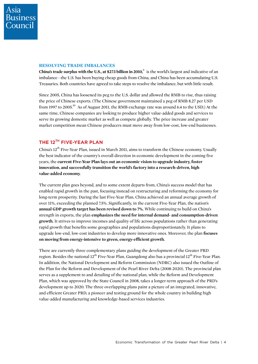#### **RESOLVING TRADE IMBALANCES**

China's trade surplus with the U.S., at \$273 billion in 2010,<sup>9</sup> is the world's largest and indicative of an imbalance—the U.S. has been buying cheap goods from China, and China has been accumulating U.S. Treasuries. Both countries have agreed to take steps to resolve the imbalance, but with little result.

Since 2005, China has loosened its peg to the U.S. dollar and allowed the RMB to rise, thus raising the price of Chinese exports. (The Chinese government maintained a peg of RMB 8.27 per USD from 1997 to 2005.<sup>10</sup> As of August 2011, the RMB exchange rate was around 6.4 to the USD.) At the same time, Chinese companies are looking to produce higher value-added goods and services to serve its growing domestic market as well as compete globally. The price increase and greater market competition mean Chinese producers must move away from low-cost, low-end businesses.

#### **THE 12TH FIVE-YEAR PLAN**

China's 12<sup>th</sup> Five-Year Plan, issued in March 2011, aims to transform the Chinese economy. Usually the best indicator of the country's overall direction in economic development in the coming five years, the **current Five-Year Plan lays out an economic vision to upgrade industry, foster innovation, and successfully transition the world's factory into a research-driven, high value-added economy.**

The current plan goes beyond, and to some extent departs from, China's success model that has enabled rapid growth in the past, focusing instead on restructuring and reforming the economy for long-term prosperity. During the last Five-Year Plan, China achieved an annual average growth of over 11%, exceeding the planned 7.5%. Significantly, in the current Five-Year Plan, the nation's **annual GDP growth target has been revised down to 7%.** While continuing to build on China's strength in exports, the plan **emphasizes the need for internal demand- and consumption-driven growth.** It strives to improve incomes and quality of life across populations rather than generating rapid growth that benefits some geographies and populations disproportionately. It plans to upgrade low-end, low-cost industries to develop more innovative ones. Moreover, the plan **focuses on moving from energy-intensive to green, energy-efficient growth.**

There are currently three complementary plans guiding the development of the Greater PRD region. Besides the national  $12^{th}$  Five-Year Plan, Guangdong also has a provincial  $12^{th}$  Five-Year Plan. In addition, the National Development and Reform Commission (NDRC) also issued the Outline of the Plan for the Reform and Development of the Pearl River Delta (2008-2020). The provincial plan serves as a supplement to and detailing of the national plan, while the Reform and Development Plan, which was approved by the State Council in 2008, takes a longer-term approach of the PRD's development up to 2020. The three overlapping plans paint a picture of an integrated, innovative, and efficient Greater PRD, a pioneer and testing ground for the whole country in building high value-added manufacturing and knowledge-based services industries.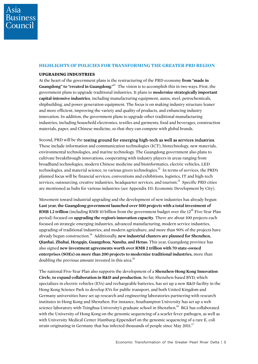#### **HIGHLIGHTS OF POLICIES FOR TRANSFORMING THE GREATER PRD REGION**

#### **UPGRADING INDUSTRIES**

At the heart of the government plans is the restructuring of the PRD economy **from "made in**  Guangdong" to "created in Guangdong."<sup>11</sup> The vision is to accomplish this in two ways. First, the government plans to upgrade traditional industries. It plans to **modernize strategically important capital-intensive industries**, including manufacturing equipment, autos, steel, petrochemicals, shipbuilding, and power generation equipment. The focus is on making industry structure leaner and more efficient, improving the variety and quality of products, and enhancing industry innovation. In addition, the government plans to upgrade other traditional manufacturing industries, including household electronics, textiles and garments, food and beverages, construction materials, paper, and Chinese medicine, so that they can compete with global brands.

Second, PRD will be the testing ground for emerging high-tech as well as services industries. These include information and communication technologies (ICT), biotechnology, new materials, environmental technologies, and marine technology. The Guangdong government also plans to cultivate breakthrough innovations, cooperating with industry players in areas ranging from broadband technologies, modern Chinese medicine and bioinformatics, electric vehicles, LED technologies, and material science, to various green technologies.<sup>12</sup> In terms of services, the PRD's planned focus will be financial services, conventions and exhibitions, logistics, IT and high-tech services, outsourcing, creative industries, headquarter services, and tourism.<sup>13</sup> Specific PRD cities are mentioned as hubs for various industries (see Appendix III: Economic Development by City).

Movement toward industrial upgrading and the development of new industries has already begun: **Last year, the Guangdong government launched over 500 projects with a total investment of RMB 1.2 trillion** (including RMB 10 billion from the government budget over the 12<sup>th</sup> Five-Year Plan period) focused on **upgrading the region's innovation capacity**. There are about 100 projects each focused on strategic emerging industries, advanced manufacturing, modern service industries, upgrading of traditional industries, and modern agriculture, and more than 90% of the projects have already begun construction.<sup>14</sup> Additionally, **new industrial clusters are planned for Shenzhen**, **Qianhai, Zhuhai, Hengqin, Guangzhou, Nansha, and Hetao.** This year, Guangdong province has also signed **new investment agreements worth over RMB 2 trillion with 70 state-owned enterprises (SOEs) on more than 200 projects to modernize traditional industries,** more than doubling the previous amount invested in this area.<sup>15</sup>

The national Five-Year Plan also supports the development of a **Shenzhen-Hong Kong Innovation Circle, to expand collaboration in R&D and production.** So far, Shenzhen-based BYD, which specializes in electric vehicles (EVs) and rechargeable batteries, has set up a new R&D facility in the Hong Kong Science Park to develop EVs for public transport, and both United Kingdom and Germany universities have set up research and engineering laboratories partnering with research institutes in Hong Kong and Shenzhen. For instance, Southampton University has set up a web science laboratory with Tsinghua University's graduate school in Shenzhen.<sup>16</sup> BGI has collaborated with the University of Hong Kong on the genomic sequencing of a scarlet fever pathogen, as well as with University Medical Center Hamburg-Eppendorf on the genomic sequencing of a rare E. coli strain originating in Germany that has infected thousands of people since May  $2011$ .<sup>17</sup>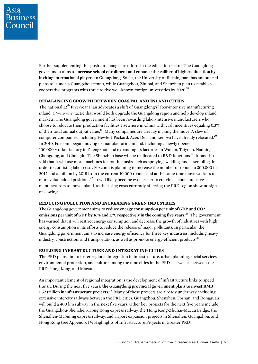Further supplementing this push for change are efforts in the education sector. The Guangdong government aims to **increase school enrollment and enhance the caliber of higher education by inviting international players to Guangdong.** So far, the University of Birmingham has announced plans to launch a Guangzhou center, while Guangzhou, Zhuhai, and Shenzhen plan to establish cooperative programs with three to five well-known foreign universities by 2020.<sup>18</sup>

#### **REBALANCING GROWTH BETWEEN COASTAL AND INLAND CITIES**

The national  $12<sup>th</sup>$  Five-Year Plan advocates a shift of Guangdong's labor-intensive manufacturing inland, a "win-win" tactic that would both upgrade the Guangdong region and help develop inland markets. The Guangdong government has been rewarding labor-intensive manufacturers who choose to relocate their production facilities elsewhere in China with cash incentives equaling 0.3% of their total annual output value.<sup>19</sup> Many companies are already making the move. A slew of computer companies, including Hewlett-Packard, Acer, Dell, and Lenovo have already relocated.<sup>20</sup> In 2010, Foxconn began moving its manufacturing inland, including a newly opened, 100,000-worker factory in Zhengzhou and expanding its factories in Wuhan, Taiyuan, Nanning, Chongqing, and Chengdu. The Shenzhen base will be reallocated to R&D functions.<sup>21</sup> It has also said that it will use more machines for routine tasks such as spraying, welding, and assembling, in order to cut rising labor costs. Foxconn is planning to increase the number of robots to 300,000 in 2012 and a million by 2015 from the current 10,000 robots, and at the same time move workers to more value-added positions.<sup>22</sup> It will likely become even easier to convince labor-intensive manufacturers to move inland, as the rising costs currently affecting the PRD region show no sign of slowing.

#### **REDUCING POLLUTION AND INCREASING GREEN INDUSTRIES**

The Guangdong government aims to **reduce energy consumption per unit of GDP and CO2 emissions per unit of GDP by 16% and 17% respectively in the coming five years.**23 The government has warned that it will restrict energy consumption and decrease the growth of industries with high energy consumption in its efforts to reduce the release of major pollutants. In particular, the Guangdong government aims to increase energy efficiency for three key industries, including heavy industry, construction, and transportation, as well as promote energy-efficient products. $24$ 

#### **BUILDING INFRASTRUCTURE AND INTEGRATING CITIES**

The PRD plans aim to foster regional integration in infrastructure, urban planning, social services, environmental protection, and culture among the nine cities in the PRD—as well as between the PRD, Hong Kong, and Macau.

An important element of regional integration is the development of infrastructure links to speed transit. During the next five years, **the Guangdong provincial government plans to invest RMB 1.52 trillion in infrastructure projects.**<sup>25</sup> Many of these projects are already under way, including extensive intercity railways between the PRD cities. Guangzhou, Shenzhen, Foshan, and Dongguan will build a 400 km subway in the next five years. Other key projects for the next five years include the Guangzhou-Shenzhen-Hong Kong express railway, the Hong Kong-Zhuhai-Macau Bridge, the Shenzhen-Maoming express railway, and airport expansion projects in Shenzhen, Guangzhou, and Hong Kong (see Appendix IV: Highlights of Infrastructure Projects in Greater PRD).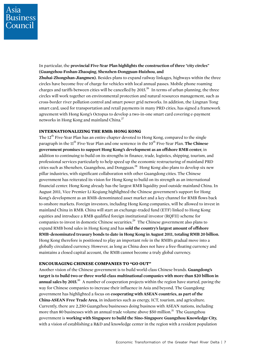In particular, the **provincial Five-Year Plan highlights the construction of three "city circles" (Guangzhou-Foshan-Zhaoqing, Shenzhen-Dongguan-Huizhou, and Zhuhai-Zhongshan-Jiangmen).** Besides plans to expand railway linkages, highways within the three circles have become free of charge for vehicles with local annual passes. Mobile phone roaming charges and tariffs between cities will be cancelled by 2015.<sup>26</sup> In terms of urban planning, the three circles will work together on environmental protection and natural resources management, such as cross-border river pollution control and smart power grid networks. In addition, the Lingnan Tong smart card, used for transportation and retail payments in many PRD cities, has signed a framework agreement with Hong Kong's Octopus to develop a two-in-one smart card covering e-payment networks in Hong Kong and mainland China.<sup>27</sup>

#### **INTERNATIONALIZING THE RMB: HONG KONG**

The 12<sup>th</sup> Five-Year Plan has an entire chapter devoted to Hong Kong, compared to the single paragraph in the 11<sup>th</sup> Five-Year Plan and one sentence in the 10<sup>th</sup> Five-Year Plan. **The Chinese government promises to support Hong Kong's development as an offshore RMB center,** in addition to continuing to build on its strengths in finance, trade, logistics, shipping, tourism, and professional services particularly to help speed up the economic restructuring of mainland PRD cities such as Shenzhen, Guangzhou, and Dongguan.28 Hong Kong also plans to develop six new pillar industries, with significant collaboration with other Guangdong cities. The Chinese government has reiterated its vision for Hong Kong to build on its strength as an international financial center. Hong Kong already has the largest RMB liquidity pool outside mainland China. In August 2011, Vice Premier Li Keqiang highlighted the Chinese government's support for Hong Kong's development as an RMB-denominated asset market and a key channel for RMB flows back to onshore markets. Foreign investors, including Hong Kong companies, will be allowed to invest in mainland China in RMB. China will start an exchange-traded fund (ETF) linked to Hong Kong equities and introduce a RMB qualified foreign institutional investor (RQFII) scheme for companies to invest in domestic Chinese securities.<sup>29</sup> The Chinese government also plans to expand RMB bond sales in Hong Kong and has **sold the country's largest amount of offshore RMB-denominated treasury bonds to date in Hong Kong in August 2011, totaling RMB 20 billion.** Hong Kong therefore is positioned to play an important role in the RMB's gradual move into a globally circulated currency. However, as long as China does not have a free-floating currency and maintains a closed capital account, the RMB cannot become a truly global currency.

#### **ENCOURAGING CHINESE COMPANIES TO "GO OUT"**

Another vision of the Chinese government is to build world-class Chinese brands. **Guangdong's target is to build two or three world-class multinational companies with more than \$20 billion in annual sales by 2015.**30 A number of cooperation projects within the region have started, paving the way for Chinese companies to increase their influence in Asia and beyond. The Guangdong government has highlighted a focus on **cooperating with ASEAN countries, as part of the China-ASEAN Free Trade Area,** in industries such as energy, ICT, tourism, and agriculture. Currently, there are 2,250 Guangzhou businesses doing business with ASEAN nations, including more than 80 businesses with an annual trade volume above \$50 million.<sup>31</sup> The Guangzhou government is **working with Singapore to build the Sino-Singapore Guangzhou Knowledge City,** with a vision of establishing a R&D and knowledge center in the region with a resident population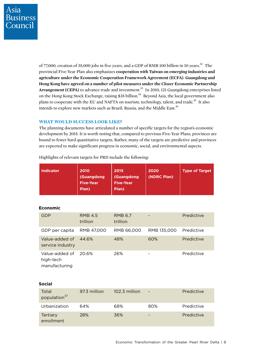of 77,000, creation of 35,000 jobs in five years, and a GDP of RMB 100 billion in 10 years.<sup>32</sup> The provincial Five-Year Plan also emphasizes **cooperation with Taiwan on emerging industries and agriculture under the Economic Cooperation Framework Agreement (ECFA)**. **Guangdong and Hong Kong have agreed on a number of pilot measures under the Closer Economic Partnership**  Arrangement (CEPA) to advance trade and investment.<sup>33</sup> In 2010, 121 Guangdong enterprises listed on the Hong Kong Stock Exchange, raising \$35 billion.<sup>34</sup> Beyond Asia, the local government also plans to cooperate with the EU and NAFTA on tourism, technology, talent, and trade.<sup>35</sup> It also intends to explore new markets such as Brazil, Russia, and the Middle East.<sup>36</sup>

#### **WHAT WOULD SUCCESS LOOK LIKE?**

The planning documents have articulated a number of specific targets for the region's economic development by 2015. It is worth noting that, compared to previous Five-Year Plans, provinces are bound to fewer hard quantitative targets. Rather, many of the targets are predictive and provinces are expected to make significant progress in economic, social, and environmental aspects.

| <b>Indicator</b>                             | 2010<br>(Guangdong<br><b>Five-Year</b><br>Plan) | 2015<br>(Guangdong<br><b>Five-Year</b><br>Plan) | 2020<br>(NDRC Plan) | <b>Type of Target</b> |
|----------------------------------------------|-------------------------------------------------|-------------------------------------------------|---------------------|-----------------------|
| <b>Economic</b>                              |                                                 |                                                 |                     |                       |
| <b>GDP</b>                                   | <b>RMB 4.5</b><br>trillion                      | <b>RMB 6.7</b><br>trillion                      |                     | Predictive            |
| GDP per capita                               | RMB 47,000                                      | RMB 66,000                                      | RMB 135,000         | Predictive            |
| Value-added of<br>service industry           | 44.6%                                           | 48%                                             | 60%                 | Predictive            |
| Value-added of<br>high-tech<br>manufacturing | 20.6%                                           | 26%                                             |                     | Predictive            |
| <b>Social</b>                                |                                                 |                                                 |                     |                       |
| Total<br>population <sup>37</sup>            | 97.3 million                                    | 102.3 million                                   |                     | Predictive            |
| Urbanization                                 | 64%                                             | 68%                                             | 80%                 | Predictive            |
| Tertiary<br>enrollment                       | 28%                                             | 36%                                             |                     | Predictive            |

Highlights of relevant targets for PRD include the following: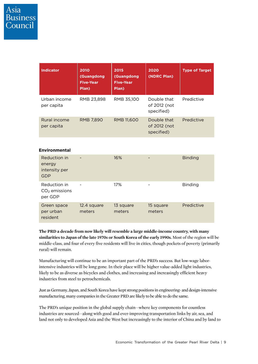resident

| <b>Indicator</b>                                      | 2010<br>(Guangdong<br><b>Five-Year</b><br>Plan) | 2015<br>(Guangdong<br><b>Five-Year</b><br>Plan) | 2020<br>(NDRC Plan)                       | <b>Type of Target</b> |
|-------------------------------------------------------|-------------------------------------------------|-------------------------------------------------|-------------------------------------------|-----------------------|
| Urban income<br>per capita                            | RMB 23,898                                      | RMB 35,100                                      | Double that<br>of 2012 (not<br>specified) | Predictive            |
| Rural income<br>per capita                            | RMB 7,890                                       | RMB 11,600                                      | Double that<br>of 2012 (not<br>specified) | Predictive            |
| <b>Environmental</b>                                  |                                                 |                                                 |                                           |                       |
| Reduction in<br>energy<br>intensity per<br><b>GDP</b> |                                                 | 16%                                             |                                           | <b>Binding</b>        |
| Reduction in<br>$CO2$ emissions<br>per GDP            |                                                 | 17%                                             |                                           | <b>Binding</b>        |
| Green space<br>per urban                              | 12.4 square<br>meters                           | 13 square<br>meters                             | 15 square<br>meters                       | Predictive            |

**The PRD a decade from now likely will resemble a large middle-income country, with many similarities to Japan of the late 1970s or South Korea of the early 1990s.** Most of the region will be middle-class, and four of every five residents will live in cities, though pockets of poverty (primarily rural) will remain.

Manufacturing will continue to be an important part of the PRD's success. But low-wage laborintensive industries will be long gone. In their place will be higher value-added light industries, likely to be as diverse as bicycles and clothes, and increasing and increasingly efficient heavy industries from steel to petrochemicals.

Just as Germany, Japan, and South Korea have kept strong positions in engineering- and design-intensive manufacturing, many companies in the Greater PRD are likely to be able to do the same.

The PRD's unique position in the global supply chain—where key components for countless industries are sourced—along with good and ever-improving transportation links by air, sea, and land not only to developed Asia and the West but increasingly to the interior of China and by land to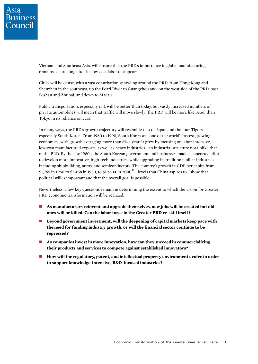Vietnam and Southeast Asia, will ensure that the PRD's importance in global manufacturing remains secure long after its low-cost labor disappears.

Cities will be dense, with a vast conurbation sprawling around the PRD, from Hong Kong and Shenzhen in the southeast, up the Pearl River to Guangzhou and, on the west side of the PRD, past Foshan and Zhuhai, and down to Macau.

Public transportation, especially rail, will be better than today, but vastly increased numbers of private automobiles will mean that traffic will move slowly (the PRD will be more like Seoul than Tokyo in its reliance on cars).

In many ways, the PRD's growth trajectory will resemble that of Japan and the four Tigers, especially South Korea. From 1960 to 1990, South Korea was one of the world's fastest-growing economies, with growth averaging more than 8% a year. It grew by focusing on labor-intensive, low-cost manufactured exports, as well as heavy industries—an industrial structure not unlike that of the PRD. By the late 1980s, the South Korean government and businesses made a concerted effort to develop more innovative, high-tech industries, while upgrading its traditional pillar industries including shipbuilding, autos, and semiconductors. The country's growth in GDP per capita from \$1,765 in 1960 to \$5,468 in 1980, to \$19,604 in 2000<sup>38</sup>-levels that China aspires to-show that political will is important and that the overall goal is possible.

Nevertheless, a few key questions remain in determining the extent to which the vision for Greater PRD economic transformation will be realized:

- **As manufacturers reinvent and upgrade themselves, new jobs will be created but old ones will be killed. Can the labor force in the Greater PRD re-skill itself?**
- Beyond government investment, will the deepening of capital markets keep pace with **the need for funding industry growth, or will the financial sector continue to be repressed?**
- **As companies invest in more innovation, how can they succeed in commercializing their products and services to compete against established innovators?**
- **How will the regulatory, patent, and intellectual property environment evolve in order to support knowledge-intensive, R&D-focused industries?**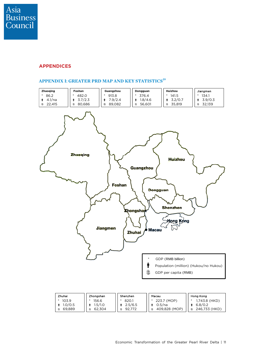

#### **APPENDICES**

#### **APPENDIX I: GREATER PRD MAP AND KEY STATISTICS<sup>39</sup>**

62,304

ŝ.

69,889



92,772

ŝ.

409,828 (MOP)

246,733 (HKD)

ŝ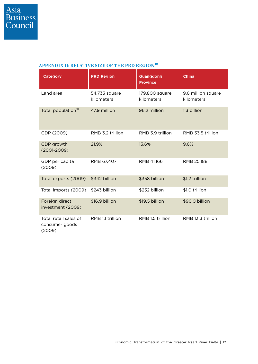#### **APPENDIX II: RELATIVE SIZE OF THE PRD REGION<sup>40</sup>**

| <b>Category</b>                                   | <b>PRD Region</b>           | <b>Guangdong</b><br><b>Province</b> | <b>China</b>                     |
|---------------------------------------------------|-----------------------------|-------------------------------------|----------------------------------|
| Land area                                         | 54,733 square<br>kilometers | 179,800 square<br>kilometers        | 9.6 million square<br>kilometers |
| Total population <sup>41</sup>                    | 47.9 million                | 96.2 million                        | 1.3 billion                      |
| GDP (2009)                                        | RMB 3.2 trillion            | RMB 3.9 trillion                    | RMB 33.5 trillion                |
| GDP growth<br>$(2001 - 2009)$                     | 21.9%                       | 13.6%                               | 9.6%                             |
| GDP per capita<br>(2009)                          | RMB 67,407                  | RMB 41,166                          | RMB 25,188                       |
| Total exports (2009)                              | \$342 billion               | \$358 billion                       | \$1.2 trillion                   |
| Total imports (2009)                              | \$243 billion               | \$252 billion                       | \$1.0 trillion                   |
| Foreign direct<br>investment (2009)               | \$16.9 billion              | \$19.5 billion                      | \$90.0 billion                   |
| Total retail sales of<br>consumer goods<br>(2009) | RMB 1.1 trillion            | RMB 1.5 trillion                    | RMB 13.3 trillion                |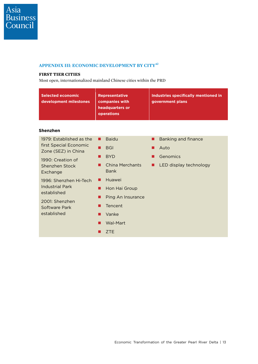#### **APPENDIX III: ECONOMIC DEVELOPMENT BY CITY42**

#### **FIRST TIER CITIES**

Most open, internationalized mainland Chinese cities within the PRD

| <b>Selected economic</b><br>development milestones                                                                       | <b>Representative</b><br>companies with<br>headquarters or<br>operations | <b>Industries specifically mentioned in</b><br>government plans |
|--------------------------------------------------------------------------------------------------------------------------|--------------------------------------------------------------------------|-----------------------------------------------------------------|
| Shenzhen                                                                                                                 |                                                                          |                                                                 |
| 1979: Established as the                                                                                                 | <b>Baidu</b><br>П                                                        | <b>Banking and finance</b>                                      |
| first Special Economic<br>Zone (SEZ) in China                                                                            | <b>BGI</b>                                                               | Auto                                                            |
| 1990: Creation of                                                                                                        | <b>BYD</b>                                                               | Genomics                                                        |
| Shenzhen Stock<br>Exchange                                                                                               | <b>China Merchants</b><br><b>Bank</b>                                    | LED display technology                                          |
| 1996: Shenzhen Hi-Tech<br><b>Industrial Park</b><br>established<br>2001: Shenzhen<br><b>Software Park</b><br>established | Huawei                                                                   |                                                                 |
|                                                                                                                          | Hon Hai Group                                                            |                                                                 |
|                                                                                                                          | Ping An Insurance                                                        |                                                                 |
|                                                                                                                          | Tencent                                                                  |                                                                 |
|                                                                                                                          | Vanke                                                                    |                                                                 |
|                                                                                                                          | <b>Wal-Mart</b>                                                          |                                                                 |
|                                                                                                                          | <b>ZTE</b>                                                               |                                                                 |
|                                                                                                                          |                                                                          |                                                                 |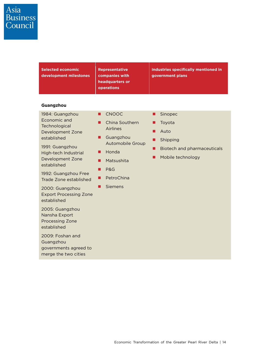# Asia<br>Business<br>Council

| <b>Selected economic</b><br>development milestones                                                                                                                                                                                                                                                                                                                               | <b>Representative</b><br>companies with<br>headquarters or<br>operations                                                                                                                  | Industries specifically mentioned in<br>government plans                                                     |
|----------------------------------------------------------------------------------------------------------------------------------------------------------------------------------------------------------------------------------------------------------------------------------------------------------------------------------------------------------------------------------|-------------------------------------------------------------------------------------------------------------------------------------------------------------------------------------------|--------------------------------------------------------------------------------------------------------------|
| Guangzhou<br>1984: Guangzhou<br>Economic and<br>Technological<br>Development Zone<br>established<br>1991: Guangzhou<br>High-tech Industrial<br>Development Zone<br>established<br>1992: Guangzhou Free<br>Trade Zone established<br>2000: Guangzhou<br><b>Export Processing Zone</b><br>established<br>2005: Guangzhou<br>Nansha Export<br><b>Processing Zone</b><br>established | <b>CNOOC</b><br>■<br>China Southern<br>п<br>Airlines<br>Guangzhou<br>■<br><b>Automobile Group</b><br>Honda<br>ш<br>Matsushita<br>■<br><b>P&amp;G</b><br>П<br>PetroChina<br><b>Siemens</b> | Sinopec<br>ш<br>Toyota<br>Auto<br>Shipping<br><b>Biotech and pharmaceuticals</b><br>. .<br>Mobile technology |
| 2009: Foshan and<br>Guangzhou<br>governments agreed to<br>merge the two cities                                                                                                                                                                                                                                                                                                   |                                                                                                                                                                                           |                                                                                                              |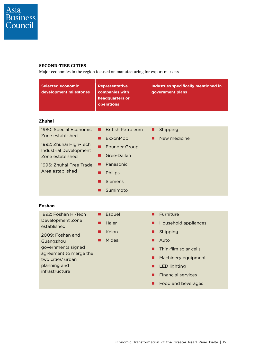#### **SECOND-TIER CITIES**

Major economies in the region focused on manufacturing for export markets

| <b>Selected economic</b><br>development milestones                                                                                                                                                        | <b>Representative</b><br>companies with<br>headquarters or<br>operations                                                                                                 | Industries specifically mentioned in<br>government plans                                                                                                                                                           |
|-----------------------------------------------------------------------------------------------------------------------------------------------------------------------------------------------------------|--------------------------------------------------------------------------------------------------------------------------------------------------------------------------|--------------------------------------------------------------------------------------------------------------------------------------------------------------------------------------------------------------------|
| <b>Zhuhai</b><br>1980: Special Economic<br>Zone established<br>1992: Zhuhai High-Tech<br><b>Industrial Development</b><br>Zone established<br>1996: Zhuhai Free Trade<br>Area established                 | <b>British Petroleum</b><br>■<br>ExxonMobil<br>■<br>Founder Group<br>■<br>Gree-Daikin<br>■<br>Panasonic<br>. .<br><b>Philips</b><br>П<br><b>Siemens</b><br>■<br>Sumimoto | Shipping<br>ш<br>New medicine<br>ш                                                                                                                                                                                 |
| Foshan<br>1992: Foshan Hi-Tech<br>Development Zone<br>established<br>2009: Foshan and<br>Guangzhou<br>governments signed<br>agreement to merge the<br>two cities' urban<br>planning and<br>infrastructure | Esquel<br>п<br>Haier<br>■<br>Kelon<br>■<br>Midea<br>$\blacksquare$                                                                                                       | Furniture<br>■<br>Household appliances<br>■<br>Shipping<br>■<br>Auto<br>п<br>Thin-film solar cells<br>■<br>Machinery equipment<br>■<br><b>LED lighting</b><br>ш<br><b>Financial services</b><br>Food and beverages |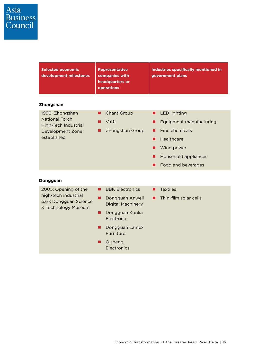| <b>Selected economic</b><br>development milestones                                                         | <b>Representative</b><br>companies with<br>headquarters or<br>operations                                                                                                           | Industries specifically mentioned in<br>government plans                                                                                                       |
|------------------------------------------------------------------------------------------------------------|------------------------------------------------------------------------------------------------------------------------------------------------------------------------------------|----------------------------------------------------------------------------------------------------------------------------------------------------------------|
| <b>Zhongshan</b>                                                                                           |                                                                                                                                                                                    |                                                                                                                                                                |
| 1990: Zhongshan<br><b>National Torch</b><br><b>High-Tech Industrial</b><br>Development Zone<br>established | <b>Chant Group</b><br>П<br>Vatti<br>ш<br>Zhongshun Group                                                                                                                           | <b>LED lighting</b><br>■<br>Equipment manufacturing<br>▄<br>Fine chemicals<br>Healthcare<br>■<br>Wind power<br>■<br>Household appliances<br>Food and beverages |
| Dongguan                                                                                                   |                                                                                                                                                                                    |                                                                                                                                                                |
| 2005: Opening of the<br>high-tech industrial<br>park Dongguan Science<br>& Technology Museum               | <b>BBK Electronics</b><br>■<br>Dongguan Anwell<br>■<br><b>Digital Machinery</b><br>Dongguan Konka<br>Electronic<br>Dongguan Lamex<br>٠<br>Furniture<br>Qisheng<br>■<br>Electronics | <b>Textiles</b><br>Thin-film solar cells                                                                                                                       |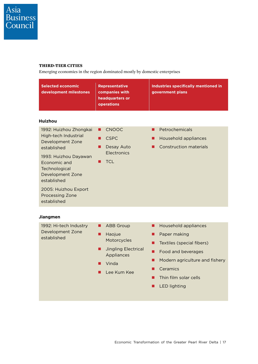#### **THIRD-TIER CITIES**

Emerging economies in the region dominated mostly by domestic enterprises

| <b>Selected economic</b><br>development milestones                                                                                                                                                                           | <b>Representative</b><br>companies with<br>headquarters or<br>operations                                                | Industries specifically mentioned in<br>government plans                                                                                                                   |
|------------------------------------------------------------------------------------------------------------------------------------------------------------------------------------------------------------------------------|-------------------------------------------------------------------------------------------------------------------------|----------------------------------------------------------------------------------------------------------------------------------------------------------------------------|
| <b>Huizhou</b><br>1992: Huizhou Zhongkai                                                                                                                                                                                     | <b>CNOOC</b><br>■                                                                                                       | Petrochemicals<br>■                                                                                                                                                        |
| High-tech Industrial<br><b>Development Zone</b><br>established<br>1993: Huizhou Dayawan<br>Economic and<br>Technological<br>Development Zone<br>established<br>2005: Huizhou Export<br><b>Processing Zone</b><br>established | <b>CSPC</b><br>Desay Auto<br>Electronics<br><b>TCL</b>                                                                  | Household appliances<br><b>Construction materials</b>                                                                                                                      |
| <b>Jiangmen</b>                                                                                                                                                                                                              |                                                                                                                         |                                                                                                                                                                            |
| 1992: Hi-tech Industry<br>Development Zone<br>established                                                                                                                                                                    | <b>ABB Group</b><br>■<br>Haojue<br>■<br>Motorcycles<br><b>Jingling Electrical</b><br>Appliances<br>Vinda<br>Lee Kum Kee | Household appliances<br>П<br>Paper making<br>Textiles (special fibers)<br>Food and beverages<br>. .<br>Modern agriculture and fishery<br>Ceramics<br>Thin film solar cells |

**LED** lighting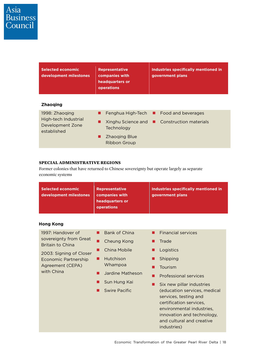| <b>Selected economic</b><br>development milestones                        | <b>Representative</b><br>companies with<br>headquarters or<br>operations | Industries specifically mentioned in<br>government plans                              |  |
|---------------------------------------------------------------------------|--------------------------------------------------------------------------|---------------------------------------------------------------------------------------|--|
| <b>Zhaoging</b>                                                           |                                                                          |                                                                                       |  |
| 1998: Zhaoging<br>High-tech Industrial<br>Development Zone<br>established | Technology                                                               | Fenghua High-Tech ■ Food and beverages<br>Xinghu Science and ■ Construction materials |  |
|                                                                           | <b>Zhaoging Blue</b><br>Ribbon Group                                     |                                                                                       |  |

#### **SPECIAL ADMINISTRATIVE REGIONS**

Former colonies that have returned to Chinese sovereignty but operate largely as separate economic systems

| <b>Selected economic</b><br>development milestones                                                                                                          | <b>Representative</b><br>companies with<br>headquarters or<br>operations                                                         | Industries specifically mentioned in<br>government plans                                                                                                                                                                                                                                                                |
|-------------------------------------------------------------------------------------------------------------------------------------------------------------|----------------------------------------------------------------------------------------------------------------------------------|-------------------------------------------------------------------------------------------------------------------------------------------------------------------------------------------------------------------------------------------------------------------------------------------------------------------------|
| <b>Hong Kong</b>                                                                                                                                            |                                                                                                                                  |                                                                                                                                                                                                                                                                                                                         |
| 1997: Handover of<br>sovereignty from Great<br>Britain to China<br>2003: Signing of Closer<br><b>Economic Partnership</b><br>Agreement (CEPA)<br>with China | <b>Bank of China</b><br>Cheung Kong<br>China Mobile<br>Hutchison<br>Whampoa<br>Jardine Matheson<br>Sun Hung Kai<br>Swire Pacific | <b>Financial services</b><br>Trade<br>Logistics<br>Shipping<br>Tourism<br>Professional services<br>Six new pillar industries<br>(education services, medical<br>services, testing and<br>certification services,<br>environmental industries.<br>innovation and technology,<br>and cultural and creative<br>industries) |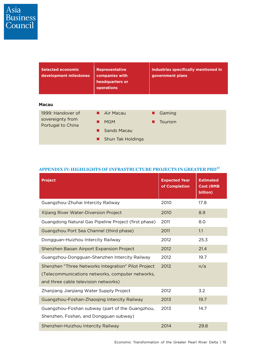| <b>Selected economic</b><br>development milestones | <b>Representative</b><br>companies with<br>headquarters or<br><b>operations</b> | Industries specifically mentioned in<br>government plans |  |
|----------------------------------------------------|---------------------------------------------------------------------------------|----------------------------------------------------------|--|
| <b>Macau</b>                                       |                                                                                 |                                                          |  |
| 1999: Handover of                                  | $\blacksquare$ Air Macau                                                        | Gaming                                                   |  |
| sovereignty from<br>Portugal to China              | <b>MGM</b>                                                                      | Tourism                                                  |  |
|                                                    | Sands Macau                                                                     |                                                          |  |
|                                                    | Shun Tak Holdings                                                               |                                                          |  |

| <b>Project</b>                                                                                                                                  | <b>Expected Year</b><br>of Completion | <b>Estimated</b><br><b>Cost (RMB</b><br>billion) |
|-------------------------------------------------------------------------------------------------------------------------------------------------|---------------------------------------|--------------------------------------------------|
| Guangzhou-Zhuhai Intercity Railway                                                                                                              | 2010                                  | 17.8                                             |
| Xijiang River Water-Diversion Project                                                                                                           | 2010                                  | 8.9                                              |
| Guangdong Natural Gas Pipeline Project (first phase)                                                                                            | 2011                                  | 8.0                                              |
| Guangzhou Port Sea Channel (third phase)                                                                                                        | 2011                                  | 1.1                                              |
| Dongguan-Huizhou Intercity Railway                                                                                                              | 2012                                  | 25.3                                             |
| Shenzhen Baoan Airport Expansion Project                                                                                                        | 2012                                  | 21.4                                             |
| Guangzhou-Dongguan-Shenzhen Intercity Railway                                                                                                   | 2012                                  | 19.7                                             |
| Shenzhen "Three Networks Integration" Pilot Project<br>(Telecommunications networks, computer networks,<br>and three cable television networks) | 2012                                  | n/a                                              |
| Zhanjiang Jianjiang Water Supply Project                                                                                                        | 2012                                  | 3.2                                              |
| Guangzhou-Foshan-Zhaoqing Intercity Railway                                                                                                     | 2013                                  | 19.7                                             |
| Guangzhou-Foshan subway (part of the Guangzhou,<br>Shenzhen, Foshan, and Dongguan subway)                                                       | 2013                                  | 14.7                                             |
| Shenzhen-Huizhou Intercity Railway                                                                                                              | 2014                                  | 29.8                                             |

#### **APPENDIX IV: HIGHLIGHTS OF INFRASTRUCTURE PROJECTS IN GREATER PRD43**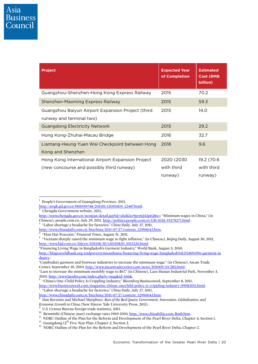| <b>Project</b>                                    | <b>Expected Year</b><br>of Completion | <b>Estimated</b><br>Cost (RMB<br>billion) |
|---------------------------------------------------|---------------------------------------|-------------------------------------------|
| Guangzhou-Shenzhen-Hong Kong Express Railway      | 2015                                  | 70.2                                      |
| Shenzhen-Maoming Express Railway                  | 2015                                  | 59.3                                      |
| Guangzhou Baiyun Airport Expansion Project (third | 2015                                  | 14.O                                      |
| runway and terminal two)                          |                                       |                                           |
| <b>Guangdong Electricity Network</b>              | 2015                                  | 29.2                                      |
| Hong Kong-Zhuhai-Macau Bridge                     | 2016                                  | 32.7                                      |
| Liantang-Heung Yuen Wai Checkpoint between Hong   | 2018                                  | 9.6                                       |
| Kong and Shenzhen                                 |                                       |                                           |
| Hong Kong International Airport Expansion Project | 2020 (2030                            | 19.2 (70.6                                |
| (new concourse and possibly third runway)         | with third                            | with third                                |
|                                                   | runway)                               | runway)                                   |

http://zwgk.gd.gov.cn/006939748/201101/t20110119\_12487.html.<br>2. Changely Cavarnment website. 2011

Chengdu Government website, 2011,

-

- <sup>3</sup> "Labor shortage a headache for factories," *China Daily*, July 27, 2011,
- http://www.chinadaily.com.cn/bizchina/2011-07/27/content\_12996043.htm.<br><sup>4</sup> "Hon Hai/Foxconn." Financial Times, August 31, 2011.

http://www.chinadaily.com.cn/bizchina/2011-07/27/content\_12996043.htm. 8

<sup>1</sup> People's Government of Guangdong Province, 2011,

http://www.chengdu.gov.cn/wenjian/detail.jsp?id=xluB2sv9prnO43ptO8xv; "Minimum wages in China," (in Chinese), people.com.cn, July 29, 2011, http://politics.people.com.cn/GB/1026/15278271.html .

 $^{\ast}$  "Hon Hai/Foxconn," *Financial Times*, August 31, 2011.<br><sup>5</sup> "Vietnam sharply raised the minimum wage to fight inflation," (in Chinese), *Beijing Daily,* August 30, 2011, http://www.bjd.com.cn/10jsxw/201108/30/t20110830\_1013220.html;

<sup>&</sup>quot;Financing Living Wage in Bangladesh's Garment Industry," World Bank, August 3, 2010,

http://blogs.worldbank.org/endpovertyinsouthasia/financing-living-wage-bangladesh%E2%80%99s-garment-in dustry;

<sup>&</sup>quot;Cambodia's garment and footwear industries to increase the minimum wage," (in Chinese), Asean Trade Center, September 10, 2010, http://www.aseantradecenter.com/news/201009/10/585.html;

<sup>&</sup>quot;Laos to increase the minimum monthly wage to \$67," (in Chinese), Laos Hunan Industrial Park, November 3, 2010, http://www.laoshn.com/index.php?c=msg&id=166&. 6

 <sup>&</sup>quot;China's One-Child Policy Is Crippling Industry," *Bloomberg Businessweek*, September 8, 2011, http://www.businessweek.com/magazine/chinas-onechild-policy-is-crippling-industry-09082011.html. 7 "Labor shortage a headache for factories," *China Daily*, July 27, 2011,

Dan Breznitz and Michael Murphree, *Run of the Red Queen: Government, Innovation, Globalization, and Economic Growth in China* (New Haven: Yale University Press, 2011).

<sup>&</sup>lt;sup>9</sup> U.S. Census Bureau foreign trade statistics, 2011.<br><sup>10</sup> Renminbi (Chinese yuan) exchange rates 1969-2010, <u>http://www.chinability.com/Rmb.htm</u>.

<sup>&</sup>lt;sup>11</sup> NDRC Outline of the Plan for the Reform and Development of the Pearl River Delta, Chapter 4, Section 1.<br><sup>12</sup> Guangdong 12<sup>th</sup> Five Year Plan, Chapter 2, Section 2.<br><sup>13</sup> NDRC Outline of the Plan for the Reform and Dev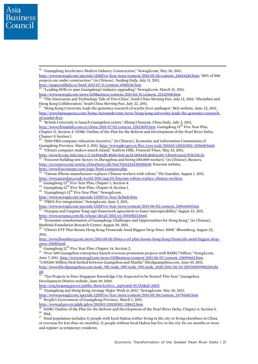Hong Kong Collaboration," *South China Morning Post*, July 22, 2011.<br><sup>17</sup> "Hong Kong University leads the genomics research of scarlet fever pathogen," BGI website, June 22, 2011,

http://www.bgisequence.com/home/newsandevents/news/hong-kong-university-leads-the-genomics-researchof-scarlet-feve. 18 "British University to launch Guangzhou centre," Zhang Chunyan, *China Daily*, July 2, 2011,

http://www.chinadaily.com.cn/china/2011-07/02/content\_12823695.htm. Guangdong 12<sup>th</sup> Five Year Plan, Chapter 11, Section 2; NDRC Outline of the Plan for the Reform and Development of the Pearl River Delta, Chapter 9, Section 1.

19 "2010 PRD company relocation incentive," (in Chinese), Economic and Information Commission of Guangdong Province, March 2, 2011, http://www.gdei.gov.cn/flxx/cyzy/zxdt/201103/t20110302\_103668.html. 20 "China's computer makers march inland," Kathrin Hille, *Financial Times*, May 23, 2011,

http://www.ft.com/intl/cms/s/2/433041d0-8568-11e0-ae32-00144feabdc0,s01=1.html#axzz1TOL9IL51.<br><sup>21</sup> "Foxconn building new factory in Zhengzhou and hiring 100,000 workers," (in Chinese), Reuters,

http://cn.reuters.com/article/chinaNews/idCNnCN116224120100630. Foxconn website,

http://www.foxconnzpc.com/page/html/company.php. 22 "Taiwan iPhone manufacturer replaces Chinese workers with robots," *The Guardian*, August 1, 2011, http://www.guardian.co.uk/world/2011/aug/01/foxconn-robots-replace-chinese-workers.<br><sup>23</sup> Guangdong 12<sup>th</sup> Five Year Plan, Chapter 1, Section 4.<br><sup>24</sup> Guangdong 12<sup>th</sup> Five Year Plan, Chapter 8, Section 1.<br><sup>25</sup> "Guangdong's

- 
- 
- 

http://www.newsgd.com/specials/12thFive-Year/default.htm.<br><sup>26</sup> "PRD's five integrations," Newsgd.com, June 2, 2011,

http://www.newsgd.com/specials/12thFive-Year/news/content/2011-06/02/content\_24964610.htm<br><sup>27</sup> "Octopus and Lingnan Tong sign framework agreement to foster interoperability," August 23, 2011,

http://www.octopus.com.hk/release/detail/2011/en/20110823.html. 28 "Economic transformation of Guangdong: Challenges and Opportunities for Hong Kong," (in Chinese), Bauhinia Foundation Research Center, August 30, 2011.

<sup>29</sup> "China's ETF Plan Boosts Hong Kong Financials Amid Biggest Drop Since 2008," Bloomberg, August 22, 2011,

http://www.bloomberg.com/news/2011-08-18/china-s-etf-plan-boosts-hong-kong-financials-amid-biggest-drop-<br>since-2008.html.<br> $\frac{30}{6}$ 

 $\frac{30}{30}$  Guangdong 12<sup>th</sup> Five Year Plan, Chapter 14, Section 2.  $\frac{31}{31}$  "Over 100 Guangzhou enterprises launch overseas promotion projects with RMB1.7 billion," Newgd.com, June 7, 2011, http://www.newsgd.com/news/GDBusiness/content/2011-06/07/content\_25099662.htm "USD260 Million Deal Settled between Guangzhou and Manila," lifeofguangzhou.com, June 10, 2011,

http://www.lifeofguangzhou.com/node\_981/node\_989/node\_995/node\_1020/2011/06/10/130768919988269.sht  $\frac{\text{ml}}{32}$  "Ten Projects in Sino-Singapore Knowledge City Expected to be Started This Year," Guangzhou

Development District website, June 10, 2010,

http://eng.luogang.gov.cn/public/showArchive\_.jsp?catid=91|155&id=3403,<br><sup>33</sup> "Guangdong and Hong Kong Arrange Major Work in 2011," Newsgd.com, May 30, 2011,

http://www.newsgd.com/specials/12thFive-Year/news/content/2011-05/30/content\_24791601.htm 34 People's Government of Guangdong Province, March 1, 2011,

http://www.gd.gov.cn/gdgk/gdyw/201103/t20110301\_138612.htm. 35 NDRC Outline of the Plan for the Reform and Development of the Pearl River Delta, Chapter 6, Section 5. 36 Ibid.

 $37$  Total population includes: 1) people with local Hukou (either living in the city or living elsewhere in China or overseas for less than six months); 2) people without local Hukou but live in the city for six months or more and register as temporary residents.

Asia **Business** Council

14 "Guangdong Accelerates Modern Industry Construction," Newsgd.com, May 26, 2011. http://www.newsgd.com/specials/12thFive-Year/news/content/2011-05/26/content\_24654283.htm; "85% of 500 projects are under construction," (in Chinese), *Nanfang Daily*, July 11, 2011,

<sup>&</sup>lt;sup>15</sup> "Leading SOEs to spur Guangdong's industry upgrading," Newsgd.com, March 31, 2011, http://www.newsgd.com/news/GDBusiness/content/2011-03/31/content\_22122958.htm. 16 "The Innovation and Technology Tale of Two Cities," *South China Morning Post*, July 12, 2011; "Shenzhen and